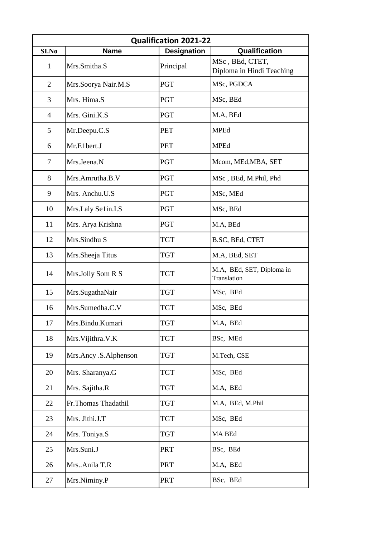|                |                       | <b>Qualification 2021-22</b> |                                              |
|----------------|-----------------------|------------------------------|----------------------------------------------|
| SI.No          | <b>Name</b>           | <b>Designation</b>           | Qualification                                |
| $\mathbf{1}$   | Mrs.Smitha.S          | Principal                    | MSc, BEd, CTET,<br>Diploma in Hindi Teaching |
| $\overline{2}$ | Mrs.Soorya Nair.M.S   | <b>PGT</b>                   | MSc, PGDCA                                   |
| 3              | Mrs. Hima.S           | <b>PGT</b>                   | MSc, BEd                                     |
| $\overline{4}$ | Mrs. Gini.K.S         | <b>PGT</b>                   | M.A, BEd                                     |
| 5              | Mr.Deepu.C.S          | <b>PET</b>                   | <b>MPEd</b>                                  |
| 6              | Mr.E1bert.J           | <b>PET</b>                   | MPEd                                         |
| 7              | Mrs.Jeena.N           | <b>PGT</b>                   | Mcom, MEd, MBA, SET                          |
| 8              | Mrs.Amrutha.B.V       | <b>PGT</b>                   | MSc, BEd, M.Phil, Phd                        |
| 9              | Mrs. Anchu.U.S        | <b>PGT</b>                   | MSc, MEd                                     |
| 10             | Mrs.Laly Selin.I.S    | <b>PGT</b>                   | MSc, BEd                                     |
| 11             | Mrs. Arya Krishna     | <b>PGT</b>                   | M.A, BEd                                     |
| 12             | Mrs.Sindhu S          | <b>TGT</b>                   | B.SC, BEd, CTET                              |
| 13             | Mrs.Sheeja Titus      | <b>TGT</b>                   | M.A, BEd, SET                                |
| 14             | Mrs.Jolly Som R S     | <b>TGT</b>                   | M.A, BEd, SET, Diploma in<br>Translation     |
| 15             | Mrs.SugathaNair       | <b>TGT</b>                   | MSc, BEd                                     |
| 16             | Mrs.Sumedha.C.V       | <b>TGT</b>                   | MSc, BEd                                     |
| 17             | Mrs.Bindu.Kumari      | TGT                          | M.A, BEd                                     |
| 18             | Mrs. Vijithra. V.K    | TGT                          | BSc, MEd                                     |
| 19             | Mrs.Ancy .S.Alphenson | TGT                          | M.Tech, CSE                                  |
| 20             | Mrs. Sharanya.G       | TGT                          | MSc, BEd                                     |
| 21             | Mrs. Sajitha.R        | TGT                          | M.A, BEd                                     |
| 22             | Fr.Thomas Thadathil   | TGT                          | M.A, BEd, M.Phil                             |
| 23             | Mrs. Jithi.J.T        | TGT                          | MSc, BEd                                     |
| 24             | Mrs. Toniya.S         | TGT                          | MA BEd                                       |
| 25             | Mrs.Suni.J            | <b>PRT</b>                   | BSc, BEd                                     |
| 26             | MrsAnila T.R          | <b>PRT</b>                   | M.A, BEd                                     |
| 27             | Mrs.Niminy.P          | <b>PRT</b>                   | BSc, BEd                                     |